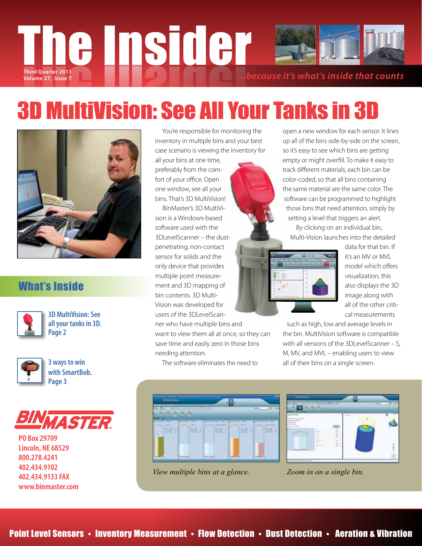# Third Quarter 2011<br>Volume 27, Issue 7<br> **Third Quarter 2011**

## 3D MultiVision: See All Your Tanks in 3D



## What's Inside



**3D MultiVision: See all your tanks in 3D. Page 2**



**3 ways to win with SmartBob. Page 3**



**PO Box 29709 Lincoln, NE 68529 800.278.4241 402.434.9102 402.434.9133 FAX www.binmaster.com**

 You're responsible for monitoring the inventory in multiple bins and your best case scenario is viewing the inventory for

all your bins at one time, preferably from the comfort of your office. Open one window, see all your bins. That's 3D MultiVision!

 BinMaster's 3D MultiVision is a Windows-based software used with the 3DLevelScanner – the dustpenetrating, non-contact sensor for solids and the only device that provides multiple point measurement and 3D mapping of bin contents. 3D Multi-Vision was developed for users of the 3DLevelScanner who have multiple bins and

want to view them all at once, so they can save time and easily zero in those bins needing attention.

The software eliminates the need to



*View multiple bins at a glance. Zoom in on a single bin.*



Multi-Vision launches into the detailed



data for that bin. If it's an MV or MVL model which offers visualization, this also displays the 3D image along with all of the other critical measurements

such as high, low and average levels in the bin. MultiVision software is compatible with all versions of the 3DLevelScanner – S, M, MV, and MVL – enabling users to view all of their bins on a single screen.

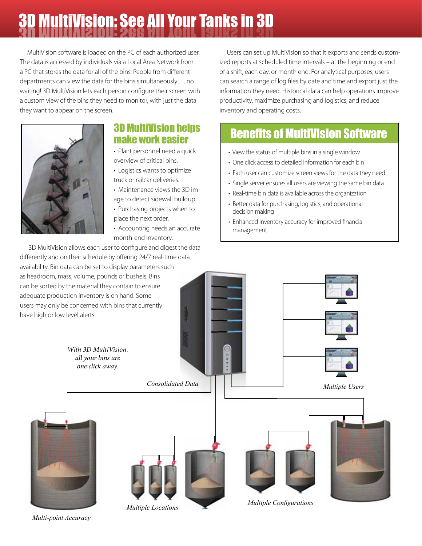# 3D 3D MultiVision: See All Your Tanks in 3D MultiVision: See All Your Tanks in 3D

 MultiVision software is loaded on the PC of each authorized user. The data is accessed by individuals via a Local Area Network from a PC that stores the data for all of the bins. People from different departments can view the data for the bins simultaneously . . . no waiting! 3D MultiVision lets each person configure their screen with a custom view of the bins they need to monitor, with just the data they want to appear on the screen.



## 3D MultiVision helps make work easier

- Plant personnel need a quick overview of critical bins.
- Logistics wants to optimize truck or railcar deliveries.
- Maintenance views the 3D image to detect sidewall buildup.
- Purchasing projects when to place the next order.
- Accounting needs an accurate month-end inventory.

 3D MultiVision allows each user to configure and digest the data differently and on their schedule by offering 24/7 real-time data availability. Bin data can be set to display parameters such as headroom, mass, volume, pounds or bushels. Bins can be sorted by the material they contain to ensure adequate production inventory is on hand. Some users may only be concerned with bins that currently have high or low level alerts.

 Users can set up MultiVision so that it exports and sends customized reports at scheduled time intervals – at the beginning or end of a shift, each day, or month end. For analytical purposes, users can search a range of log files by date and time and export just the information they need. Historical data can help operations improve productivity, maximize purchasing and logistics, and reduce inventory and operating costs.

## Benefits of MultiVision Software

- View the status of multiple bins in a single window
- One click access to detailed information for each bin
- Each user can customize screen views for the data they need
- Single server ensures all users are viewing the same bin data
- Real-time bin data is available across the organization
- Better data for purchasing, logistics, and operational decision making
- Enhanced inventory accuracy for improved financial management



*Multiple Locations Multiple Configurations*

*Multi-point Accuracy*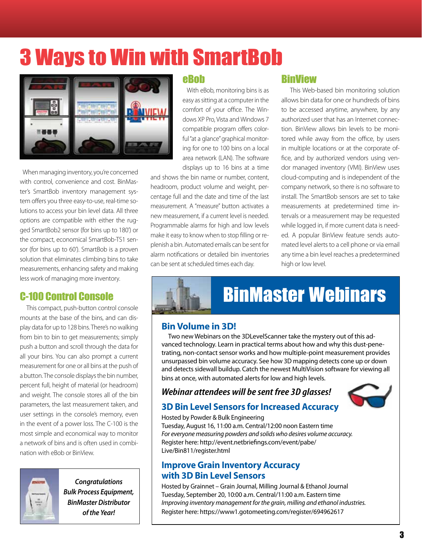## 3 Ways to Win with SmartBob



 When managing inventory, you're concerned with control, convenience and cost. BinMaster's SmartBob inventory management system offers you three easy-to-use, real-time solutions to access your bin level data. All three options are compatible with either the rugged SmartBob2 sensor (for bins up to 180') or the compact, economical SmartBob-TS1 sensor (for bins up to 60'). SmartBob is a proven solution that eliminates climbing bins to take measurements, enhancing safety and making less work of managing more inventory.

## C-100 Control Console

 This compact, push-button control console mounts at the base of the bins, and can display data for up to 128 bins. There's no walking from bin to bin to get measurements; simply push a button and scroll through the data for all your bins. You can also prompt a current measurement for one or all bins at the push of a button. The console displays the bin number, percent full, height of material (or headroom) and weight. The console stores all of the bin parameters, the last measurement taken, and user settings in the console's memory, even in the event of a power loss. The C-100 is the most simple and economical way to monitor a network of bins and is often used in combination with eBob or BinView.



*Congratulations Bulk Process Equipment, BinMaster Distributor of the Year!*

#### eBob

 With eBob, monitoring bins is as easy as sitting at a computer in the comfort of your office. The Windows XP Pro, Vista and Windows 7 compatible program offers colorful "at a glance" graphical monitoring for one to 100 bins on a local area network (LAN). The software displays up to 16 bins at a time

and shows the bin name or number, content, headroom, product volume and weight, percentage full and the date and time of the last measurement. A "measure" button activates a new measurement, if a current level is needed. Programmable alarms for high and low levels make it easy to know when to stop filling or replenish a bin. Automated emails can be sent for alarm notifications or detailed bin inventories can be sent at scheduled times each day.

## BinView

 This Web-based bin monitoring solution allows bin data for one or hundreds of bins to be accessed anytime, anywhere, by any authorized user that has an Internet connection. BinView allows bin levels to be monitored while away from the office, by users in multiple locations or at the corporate office, and by authorized vendors using vendor managed inventory (VMI). BinView uses cloud-computing and is independent of the company network, so there is no software to install. The SmartBob sensors are set to take measurements at predetermined time intervals or a measurement may be requested while logged in, if more current data is needed. A popular BinView feature sends automated level alerts to a cell phone or via email any time a bin level reaches a predetermined high or low level.

## BinMaster Webinars

## **Bin Volume in 3D!**

 Two new Webinars on the 3DLevelScanner take the mystery out of this advanced technology. Learn in practical terms about how and why this dust-penetrating, non-contact sensor works and how multiple-point measurement provides unsurpassed bin volume accuracy. See how 3D mapping detects cone up or down and detects sidewall buildup. Catch the newest MultiVision software for viewing all bins at once, with automated alerts for low and high levels.

## *Webinar attendees will be sent free 3D glasses!*



#### **3D Bin Level Sensors for Increased Accuracy**  Hosted by Powder & Bulk Engineering

Tuesday, August 16, 11:00 a.m. Central/12:00 noon Eastern time *For everyone measuring powders and solids who desires volume accuracy.* Register here: http://event.netbriefings.com/event/pabe/ Live/Bin811/register.html

#### **Improve Grain Inventory Accuracy with 3D Bin Level Sensors**

Hosted by Grainnet – Grain Journal, Milling Journal & Ethanol Journal Tuesday, September 20, 10:00 a.m. Central/11:00 a.m. Eastern time *Improving inventory management for the grain, milling and ethanol industries.* Register here: https://www1.gotomeeting.com/register/694962617